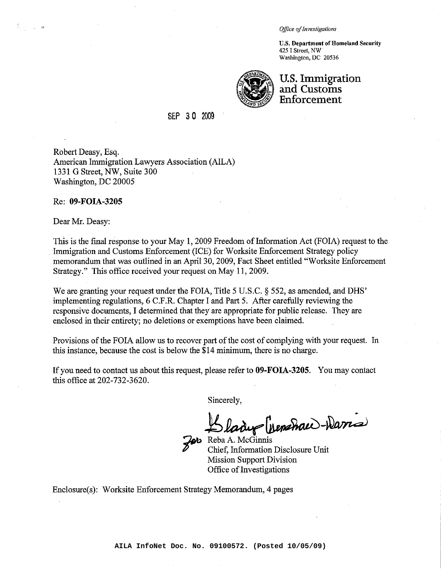*Office ofInvestigations*

**U.S. Department of Homeland Security** 425 I Street, NW Washington, DC 20536



# **u.s. Immigration and Customs Enforcement**

#### SEP <sup>3</sup>a <sup>2009</sup>

Robert Deasy, Esq. American Immigration Lawyers Association (AILA) 1331 G Street, NW, Suite 300 Washington, DC 20005

Re: **09-FOIA-3205**

Dear Mr. Deasy:

ે.<br>પાર્ટી પર પાક

This is the final response to your May 1, 2009 Freedom of Information Act (FOIA) request to the Immigration and Customs Enforcement (ICE) for Worksite Enforcement Strategy policy memorandum that was outlined in an April 30, 2009, Fact Sheet entitled "Worksite Enforcement Strategy." This office received your request on May 11, 2009.

We are granting your request under the FOIA, Title 5 U.S.C. § 552, as amended, and DHS' implementing regulations, 6 C.F.R. Chapter I and Part 5. After carefully reviewing the responsive documents, I determined that they are appropriate for public release. They are enclosed in their entirety; no deletions or exemptions have been claimed.

Provisions of the FOIA allow us to recover part of the cost of complying with your request. In this instance, because the cost is below the \$14 minimum, there is no charge.

If you need to contact us about this request, please refer to **09-FOIA-3205.** You may contact this office at 202-732-3620.

Sincerely,

du (penshau)-Daris

**M** Reba A. McGinnis - Chief, Information Disclosure Unit Mission Support Division Office of Investigations

Enclosure(s): Worksite Enforcement Strategy Memorandum, 4 pages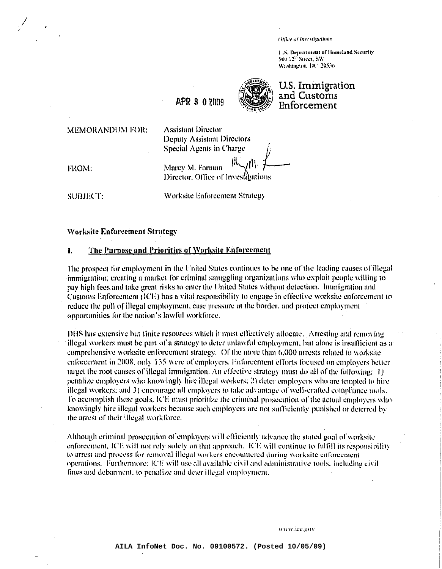Office of Investigations

U.S. Department of Humeland Security 500.12<sup>2</sup> Street, SW Washington, DC 20536

APR 3 0 2009



U.S. Immigration and Customs Enforcement

MEMORANDUM FOR:

**Assistant Director** Deputy Assistant Directors **Special Agents in Charge** 

FROM:

Marcy M. Forman Director, Office of Investmentions

**SUBJECT:** 

Worksite Enforcement Strategy

#### **Worksite Enforcement Strategy**

#### $\mathbf{L}$ The Purpose and Priorities of Worksite Enforcement

The prospect for employment in the United States continues to be one of the leading causes of illegal immigration, creating a market for criminal smuggling organizations who exploit people willing to pay high fees and take great risks to emer the United States without detection. Immigration and Customs Enforcement (ICE) has a vital responsibility to engage in effective worksite enforcement to reduce the pull of illegal employment, ease pressure at the border, and protect employment opportunities for the nation's lawful workforce.

DHS has extensive but finite resources which it must effectively allocate. Arresting and removing illegal workers must be part of a strategy to deter unlawful employment, but alone is insufficient as a comprehensive worksite enforcement strategy. Of the more than 6,000 arrests related to worksite enforcement in 2008, only 135 were of employers. Enforcement efforts focused on employers better target the root causes of illegal immigration. An effective strategy must do all of the following:  $\pm i$ penalize employers who knowingly hire illegal workers: 2) deter employers who are tempted to hire illegal workers; and 3) encourage all employers to take advantage of well-crafted compliance tools. To accomplish these goals, ICE must prioritize the criminal prosecution of the actual employers who knowingly hire illegal workers because such employers are not sufficiently punished or deterred by the arrest of their illegal workforce.

Although criminal prosecution of employers will efficiently advance the stated goal of worksite enforcement, ICE will not rely solely on that approach. ICE will continue to fulfill its responsibility to arrest and process for removal illegal workers encountered during worksite enforcement operations. Furthermore, ICE will use all available civil and administrative tools, including civil fines and debarment, to penalize and deter illegal employment.

www.ice.gov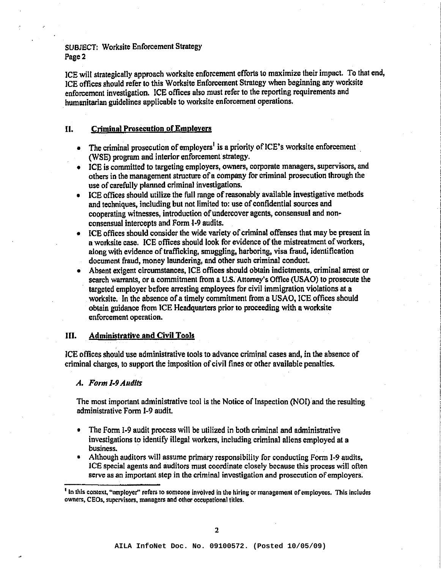SUBJECT: Worksite Enforcement Strategy Page 2

ICE will strategically approach worksite enforcement efforts to maximize their impact. To that end, ICE offices should refer to this Worksite Enforcement Strategy when beginning any worksite enforcement investigation. ICE offices also must refer to the reporting requirements and humanitarian guidelines applicable to worksite enforcement operations.

## II. Criminal Prosecution of Employers

- The criminal prosecution of employers<sup>1</sup> is a priority of ICE's worksite enforcement. (WSE) program and interior enforcement strategy.
- ICE is committed to targeting employers, owners, corporate managers, supervisors, and others in the management structure ofa company for criminal prosecution through the use of carefully planned criminal investigations.
- ICE offices should utilize the full range of reasonably available investigative methods and techniques, including but not limited to: use of confidential sources and cooperating witnesses, introduction of undercover agents, consensual and nonconsensual intercepts and Form I-9 audits.
- ICE offices should consider the wide variety of criminal offenses that may be present in a worksite case. ICE offices should look for evidence of the mistreatment of workers, along with evidence of trafficking, smuggling, harboring, visa fraud, identification document fraud, money laundering, and other such criminal conduct.
- Absent exigent circumstances, ICE offices should obtain indictments, criminal arrest or scarch warrants, or a commitment from a U.S. Attorney's Office (USAO) to prosecute the targeted employer before arresting employees for civil immigration violations at a worksite. In the absence of a timely commitment from a USAO, ICE offices should obtain guidance from ICE Headquarters prior to proceeding with a worksite enforcement operation.

## III. Administrative and Civil Tools

ICE offices should use administrative tools to advance criminal cases and, in the absence of criminal charges, to support the imposition of civil fines or other available penalties.

### *A. Form* 1-9*Audits*

The most important administrative tool is the Notice of Inspection (NOI) and the resulting administrative Form 1-9 audit.

- The Form 1-9 audit process will be utilized in both criminal and administrative investigations to identify illegal workers, including criminal aliens employed at a business.
- Although auditors will assume primary responsibility for conducting Form 1-9 audits, ICE special agents and auditors must coordinate closely because this process will often serve as an important step in the criminal investigation and prosecution of employers.

<sup>&</sup>lt;sup>1</sup> In this context, "employer" refers to someone involved in the hiring or management of employees. This includes owners. CEOs, supervisors, managers and other occupational titles.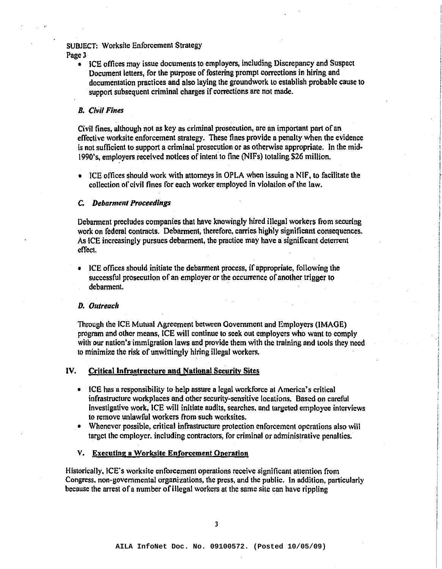# SUBJECT: Worksitc Enforcement Strategy

Page 3

• ICE offices may issue documents to employers, including Discrepancy and Suspect Document letters, for the purpose of fostering prompt corrections in hiring and documentation practices and also laying the groundwork to establish probable cause to support subsequent criminal charges if corrections are not made.

#### *B. Civil Fines*

Civil fines, although not as key as criminal prosecution, arc an important part of an effective worksite enforcement stralegy. These fines provide a penalty when the evidence is not sufficient to support a criminal prosecution or as otherwise appropriate. In the mid-1990's, employers received notices of intent to fine (NIFs) totaling \$26 million.

 $\bullet$  ICE offices should work with attorneys in OPLA when issuing a NIF, to facilitate the collection of civil fines for each worker employed in violation ofthe law.

#### C. *Debarmem Proceedings*

Debarment precludes companies that have knowingly hired illegal workers from securing work on federal contracts. Debarment, therefore, carries highly significant consequences. As ICE increasingly pursues debarment, thc practice may have a significant detcrrent effect.

• ICE offices should initiate the debarment process, if appropriate, following the successful prosecution of an employer or the occurrence of another trigger to debarment.

#### *D. Ol/treaell*

Through the ICE Mutual Agreement between Government and Employers (IMAGE) program and other means, ICE will continue to seek out cmploycrs who want to comply with our nation's immigration laws and provide them with the training and tools they need to minimize the risk of unwittingly hiring illegal workers.

#### IV. Critical Infrastructure and National Security Sites

- ICE has a responsibility to help assure a legal workforce at America's critical infrastructure workplaces and other security-sensitive locations. Based on careful investigative work, ICE will initiate audits, searches. and targeted employee interviews to remove unlawful workers from such worksites.
- Whenever possible, critical infrastructure protection enforcement operations also will target the employer, including contractors, for criminal or administrative penalties.

#### V. Executing a Worksite Enforcement Operation

Historically. ICE's worksite enforcement operations receive significant attention from Congress, non-governmental organizations, the press, and the public. In addition, particularly because the arrest of a number of illegal workers at the same site can have rippling